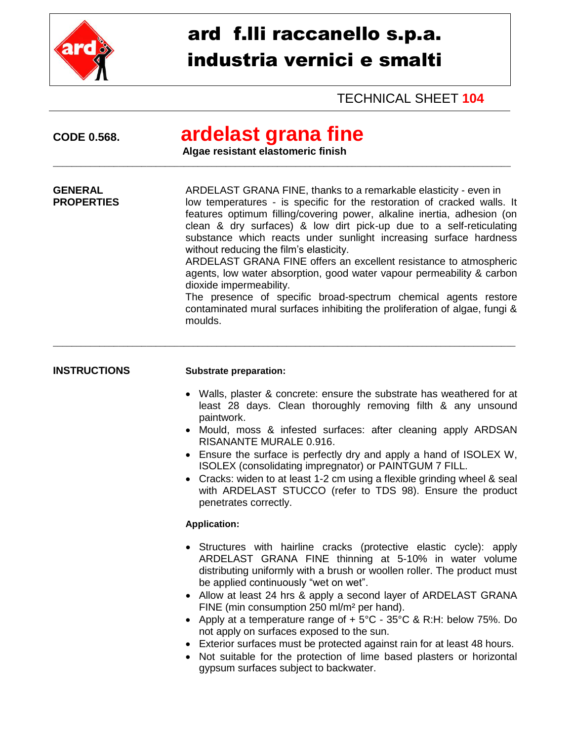

# ard f.lli raccanello s.p.a. industria vernici e smalti

TECHNICAL SHEET **104**

| <b>CODE 0.568.</b>                  | ardelast grana fine<br>Algae resistant elastomeric finish                                                                                                                                                                                                                                                                                                                                                                                                                                                                                                                                                                                                                                                                                          |
|-------------------------------------|----------------------------------------------------------------------------------------------------------------------------------------------------------------------------------------------------------------------------------------------------------------------------------------------------------------------------------------------------------------------------------------------------------------------------------------------------------------------------------------------------------------------------------------------------------------------------------------------------------------------------------------------------------------------------------------------------------------------------------------------------|
| <b>GENERAL</b><br><b>PROPERTIES</b> | ARDELAST GRANA FINE, thanks to a remarkable elasticity - even in<br>low temperatures - is specific for the restoration of cracked walls. It<br>features optimum filling/covering power, alkaline inertia, adhesion (on<br>clean & dry surfaces) & low dirt pick-up due to a self-reticulating<br>substance which reacts under sunlight increasing surface hardness<br>without reducing the film's elasticity.<br>ARDELAST GRANA FINE offers an excellent resistance to atmospheric<br>agents, low water absorption, good water vapour permeability & carbon<br>dioxide impermeability.<br>The presence of specific broad-spectrum chemical agents restore<br>contaminated mural surfaces inhibiting the proliferation of algae, fungi &<br>moulds. |
| <b>INSTRUCTIONS</b>                 | <b>Substrate preparation:</b><br>• Walls, plaster & concrete: ensure the substrate has weathered for at<br>least 28 days. Clean thoroughly removing filth & any unsound<br>paintwork.<br>• Mould, moss & infested surfaces: after cleaning apply ARDSAN<br>RISANANTE MURALE 0.916.<br>• Ensure the surface is perfectly dry and apply a hand of ISOLEX W,<br>ISOLEX (consolidating impregnator) or PAINTGUM 7 FILL.<br>• Cracks: widen to at least 1-2 cm using a flexible grinding wheel & seal<br>with ARDELAST STUCCO (refer to TDS 98). Ensure the product<br>penetrates correctly.                                                                                                                                                            |
|                                     | <b>Application:</b><br>• Structures with hairline cracks (protective elastic cycle): apply<br>ARDELAST GRANA FINE thinning at 5-10% in water volume<br>distributing uniformly with a brush or woollen roller. The product must<br>be applied continuously "wet on wet".<br>• Allow at least 24 hrs & apply a second layer of ARDELAST GRANA<br>FINE (min consumption 250 ml/m <sup>2</sup> per hand).<br>• Apply at a temperature range of $+5^{\circ}$ C - 35°C & R:H: below 75%. Do<br>not apply on surfaces exposed to the sun.<br>Exterior surfaces must be protected against rain for at least 48 hours.<br>• Not suitable for the protection of lime based plasters or horizontal<br>gypsum surfaces subject to backwater.                   |